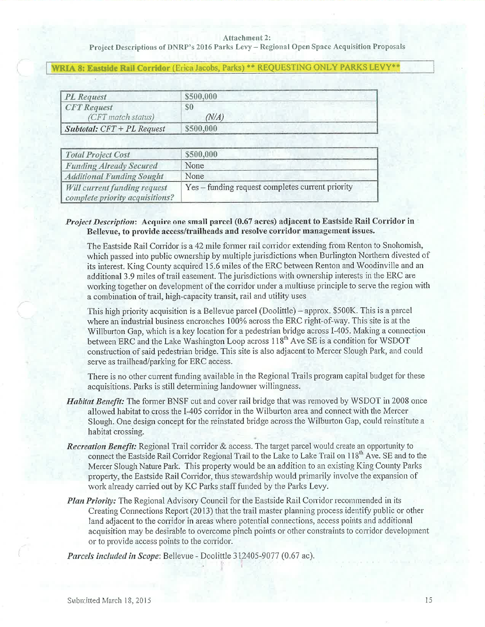## Attachment 2:

Project Descriptions of DNRP's 2016 Parks Levy - Regional Open Space Acquisition Proposals

## WRIA 8: Eastside Rail Corridor (Erica Jacobs, Parks) \*\* REQUESTING ONLY PARKS LEVY\*\*

| <b>PL</b> Request                   | \$500,000  |
|-------------------------------------|------------|
| <b>CFT</b> Request                  | S0         |
| (CFT match status)                  | $N\!/\!A)$ |
| <b>Subtotal:</b> $CFT + PL$ Request | \$500,000  |

| <b>Total Project Cost</b>                                       | \$500,000                                        |
|-----------------------------------------------------------------|--------------------------------------------------|
| <b>Funding Already Secured</b>                                  | None                                             |
| <b>Additional Funding Sought</b>                                | None                                             |
| Will current funding request<br>complete priority acquisitions? | Yes – funding request completes current priority |

## Project Description: Acquire one small parcel (0.67 acres) adjacent to Eastside Rail Corridor in Bellevue, to provide access/trailheads and resolve corridor management issues.

The Eastside Rail Corridor is a 42 mile former rail corridor extending from Renton to Snohomish, which passed into public ownership by multiple jurisdictions when Burlington Northern divested of its interest. King County acquired 15.6 miles of the ERC between Renton and Woodinville and an additional 3.9 miles of trail easement. The jurisdictions with ownership interests in the ERC are working together on development of the corridor under a multiuse principle to serve the region with a combination of trail, high-capacity transit, rail and utility uses

This high priority acquisition is a Bellevue parcel (Doolittle) – approx. \$500K. This is a parcel where an industrial business encroaches 100% across the ERC right-of-way. This site is at the Willburton Gap, which is a key location for a pedestrian bridge across I-405. Making a connection between ERC and the Lake Washington Loop across 118<sup>th</sup> Ave SE is a condition for WSDOT construction of said pedestrian bridge. This site is also adjacent to Mercer Slough Park, and could serve as trailhead/parking for ERC access.

There is no other current funding available in the Regional Trails program capital budget for these acquisitions. Parks is still determining landowner willingness.

- *Habitat Benefit:* The former BNSF cut and cover rail bridge that was removed by WSDOT in 2008 once allowed habitat to cross the I-405 corridor in the Wilburton area and connect with the Mercer Slough. One design concept for the reinstated bridge across the Wilburton Gap, could reinstitute a habitat crossing.
- Recreation Benefit: Regional Trail corridor & access. The target parcel would create an opportunity to connect the Eastside Rail Corridor Regional Trail to the Lake to Lake Trail on 118<sup>th</sup> Ave. SE and to the Mercer Slough Nature Park. This property would be an addition to an existing King County Parks property, the Eastside Rail Corridor, thus stewardship would primarily involve the expansion of work already carried out by KC Parks staff funded by the Parks Levy.
- Plan Priority: The Regional Advisory Council for the Eastside Rail Corridor recommended in its Creating Connections Report (2013) that the trail master planning process identify public or other land adjacent to the corridor in areas where potential connections, access points and additional acquisition may be desirable to overcome pinch points or other constraints to corridor development or to provide access points to the corridor.

Parcels included in Scope: Bellevue - Doolittle 312405-9077 (0.67 ac).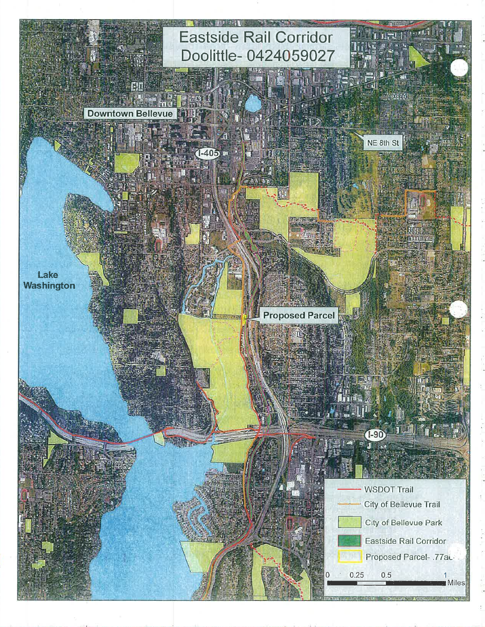